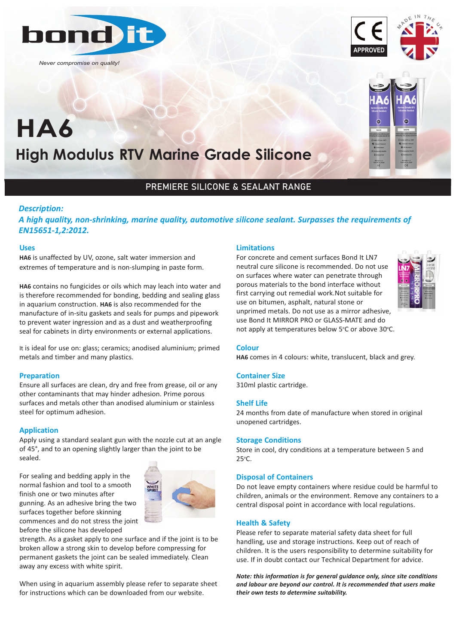

*Never compromise on quality!*

# **High Modulus RTV Marine Grade Silicone HA6**

## PREMIERE SILICONE & SEALANT RANGE

## *Description:*

*A high quality, non‐shrinking, marine quality, automotive silicone sealant. Surpasses the requirements of EN15651‐1,2:2012.*

#### **Uses**

**HA6** is unaffected by UV, ozone, salt water immersion and extremes of temperature and is non-slumping in paste form.

**HA6** contains no fungicides or oils which may leach into water and is therefore recommended for bonding, bedding and sealing glass in aquarium construction. **HA6** is also recommended for the manufacture of in-situ gaskets and seals for pumps and pipework to prevent water ingression and as a dust and weatherproofing seal for cabinets in dirty environments or external applications.

It is ideal for use on: glass; ceramics; anodised aluminium; primed metals and timber and many plastics.

## **Preparation**

Ensure all surfaces are clean, dry and free from grease, oil or any other contaminants that may hinder adhesion. Prime porous surfaces and metals other than anodised aluminium or stainless steel for optimum adhesion.

#### **Application**

Apply using a standard sealant gun with the nozzle cut at an angle of 45°, and to an opening slightly larger than the joint to be sealed.

For sealing and bedding apply in the normal fashion and tool to a smooth finish one or two minutes after gunning. As an adhesive bring the two surfaces together before skinning commences and do not stress the joint before the silicone has developed



strength. As a gasket apply to one surface and if the joint is to be broken allow a strong skin to develop before compressing for permanent gaskets the joint can be sealed immediately. Clean away any excess with white spirit.

When using in aquarium assembly please refer to separate sheet for instructions which can be downloaded from our website.

## **Limitations**

For concrete and cement surfaces Bond It LN7 neutral cure silicone is recommended. Do not use on surfaces where water can penetrate through porous materials to the bond interface without first carrying out remedial work.Not suitable for use on bitumen, asphalt, natural stone or unprimed metals. Do not use as a mirror adhesive, use Bond It MIRROR PRO or GLASS-MATE and do not apply at temperatures below 5°C or above 30°C.



#### **Colour**

**HA6** comes in 4 colours: white, translucent, black and grey.

## **Container Size**

310ml plastic cartridge.

#### **Shelf Life**

24 months from date of manufacture when stored in original unopened cartridges.

#### **Storage Conditions**

Store in cool, dry conditions at a temperature between 5 and  $25^{\circ}$ C.

#### **Disposal of Containers**

Do not leave empty containers where residue could be harmful to children, animals or the environment. Remove any containers to a central disposal point in accordance with local regulations.

## **Health & Safety**

Please refer to separate material safety data sheet for full handling, use and storage instructions. Keep out of reach of children. It is the users responsibility to determine suitability for use. If in doubt contact our Technical Department for advice.

*Note: this information is for general guidance only, since site conditions and labour are beyond our control. It is recommended that users make their own tests to determine suitability.*